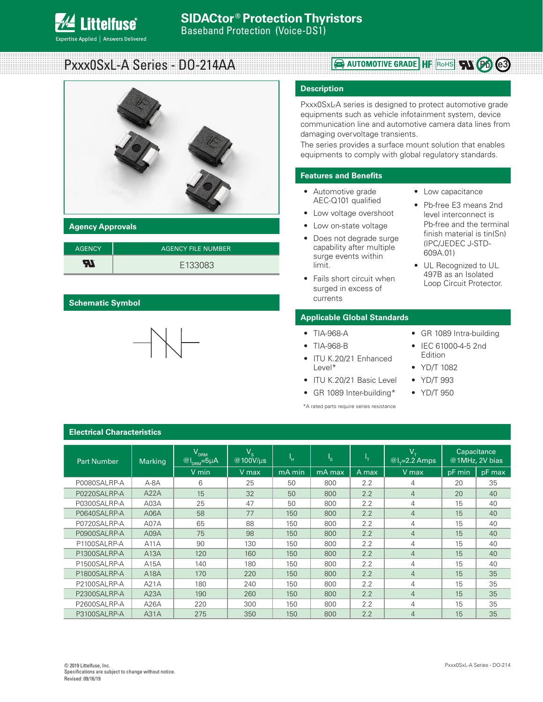

# Pxxx0SxL-A Series - DO-214AA



#### **Agency Approvals**

| <b>AGENCY</b> | <b>AGENCY FILE NUMBER</b> |
|---------------|---------------------------|
| W             | E133083                   |

#### **Schematic Symbol**



# **Rouge AUTOMOTIVE GRADE HF** RoHS **W**  $(P_0)$  (e3)

#### **Description**

Pxxx0SxL-A series is designed to protect automotive grade equipments such as vehicle infotainment system, device communication line and automotive camera data lines from damaging overvoltage transients.

The series provides a surface mount solution that enables equipments to comply with global regulatory standards.

# **Features and Benefits**

- Automotive grade AEC-Q101 qualified
- Low voltage overshoot
- Low on-state voltage
- Does not degrade surge capability after multiple surge events within limit.
- Fails short circuit when surged in excess of currents

#### **Applicable Global Standards**

- TIA-968-A
- TIA-968-B
- ITU K.20/21 Enhanced Level\*
- ITU K.20/21 Basic Level
- GR 1089 Inter-building\*

\*A rated parts require series resistance

- Low capacitance
- Pb-free E3 means 2nd level interconnect is Pb-free and the terminal finish material is tin(Sn) (IPC/JEDEC J-STD-609A.01)
- UL Recognized to UL 497B as an Isolated Loop Circuit Protector.

• GR 1089 Intra-building • IEC 61000-4-5 2nd

Edition • YD/T 1082 • YD/T 993 • YD/T 950

# **Electrical Characteristics**

| <b>Part Number</b> | <b>Marking</b> | $\overline{\mathsf{V}}_{\texttt{DRM}}$<br>$\omega$ <sub>DRM</sub> =5µA | $V_{s}$<br>@100V/us | 'н     | $I_{\rm S}$ | Чт.   | $\rm V_{T}$<br>$@L=2.2$ Amps |        | Capacitance<br>@1MHz, 2V bias |
|--------------------|----------------|------------------------------------------------------------------------|---------------------|--------|-------------|-------|------------------------------|--------|-------------------------------|
|                    |                | V min                                                                  | V max               | mA min | mA max      | A max | V max                        | pF min | pF max                        |
| P0080SALRP-A       | $A - 8A$       | 6                                                                      | 25                  | 50     | 800         | 2.2   | 4                            | 20     | 35                            |
| P0220SALRP-A       | A22A           | 15                                                                     | 32                  | 50     | 800         | 2.2   | 4                            | 20     | 40                            |
| P0300SALRP-A       | A03A           | 25                                                                     | 47                  | 50     | 800         | 2.2   | 4                            | 15     | 40                            |
| P0640SALRP-A       | A06A           | 58                                                                     | 77                  | 150    | 800         | 2.2   | $\overline{4}$               | 15     | 40                            |
| P0720SALRP-A       | A07A           | 65                                                                     | 88                  | 150    | 800         | 2.2   | 4                            | 15     | 40                            |
| P0900SALRP-A       | A09A           | 75                                                                     | 98                  | 150    | 800         | 2.2   | $\overline{4}$               | 15     | 40                            |
| P1100SALRP-A       | A11A           | 90                                                                     | 130                 | 150    | 800         | 2.2   | 4                            | 15     | 40                            |
| P1300SALRP-A       | A13A           | 120                                                                    | 160                 | 150    | 800         | 2.2   | 4                            | 15     | 40                            |
| P1500SALRP-A       | A15A           | 140                                                                    | 180                 | 150    | 800         | 2.2   | 4                            | 15     | 40                            |
| P1800SALRP-A       | A18A           | 170                                                                    | 220                 | 150    | 800         | 2.2   | $\overline{4}$               | 15     | 35                            |
| P2100SALRP-A       | A21A           | 180                                                                    | 240                 | 150    | 800         | 2.2   | 4                            | 15     | 35                            |
| P2300SALRP-A       | A23A           | 190                                                                    | 260                 | 150    | 800         | 2.2   | $\overline{4}$               | 15     | 35                            |
| P2600SALRP-A       | A26A           | 220                                                                    | 300                 | 150    | 800         | 2.2   | 4                            | 15     | 35                            |
| P3100SALRP-A       | A31A           | 275                                                                    | 350                 | 150    | 800         | 2.2   | 4                            | 15     | 35                            |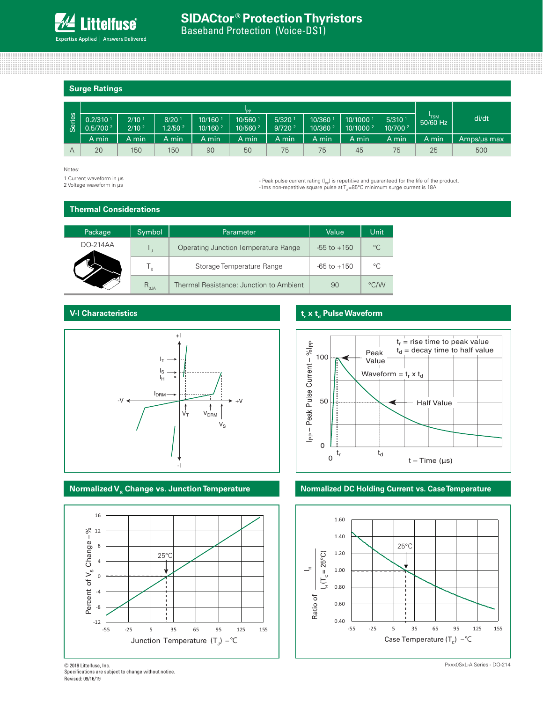#### **Surge Ratings**

|      | "PP                    |                   |                     |                     |                     |                      |                     |                      |                      |            |             |
|------|------------------------|-------------------|---------------------|---------------------|---------------------|----------------------|---------------------|----------------------|----------------------|------------|-------------|
| ries | $0.2/310$ <sup>1</sup> | $2/10^{-1}$       | 8/20 <sup>1</sup>   | 10/160              | 10/560 1            | $5/320$ <sup>1</sup> | 10/360              | 10/1000 <sup>1</sup> | $5/310$ <sup>1</sup> | $50/60$ Hz | di/dt       |
| ဖိ   | 0.5/700 <sup>2</sup>   | 2/10 <sup>2</sup> | 1.2/50 <sup>2</sup> | 10/160 <sup>2</sup> | 10/560 <sup>2</sup> | 9/720 <sup>2</sup>   | 10/360 <sup>2</sup> | 10/1000 <sup>2</sup> | 10/700 <sup>2</sup>  |            |             |
|      | A min                  | A min             | A min               | A min               | A min               | A min                | A min               | A min                | A min                | A min      | Amps/us max |
| A    | 20                     | 150               | 150                 | 90                  | 50                  | 75                   | 75                  | 45                   | 75                   | 25         | 500         |

#### Notes:

1 Current waveform in µs<br>2 Voltage waveform in µs

- Peak pulse current rating ( $I_{\text{pp}}$ ) is repetitive and guaranteed for the life of the product. -1ms non-repetitive square pulse at  $T_A$ =85°C minimum surge current is 18A

#### **Thermal Considerations**

| Package    | Symbol         | Parameter                               | Value           | <b>Unit</b> |
|------------|----------------|-----------------------------------------|-----------------|-------------|
| $DO-214AA$ |                | Operating Junction Temperature Range    | $-55$ to $+150$ | $^{\circ}C$ |
|            | T,             | Storage Temperature Range               | $-65$ to $+150$ | °C          |
|            | $R_{\theta$ JA | Thermal Resistance: Junction to Ambient | 90              | °C/W        |

# **V-I Characteristics**





# **t<sub>r</sub>** x t<sub>d</sub> Pulse Waveform



#### **Normalized V<sub>s</sub> Change vs. Junction Temperature <b>No. 2018** Normalized DC Holding Current vs. Case Temperature



Revised: 09/16/19 © 2019 Littelfuse, Inc. Specifications are subject to change without notice.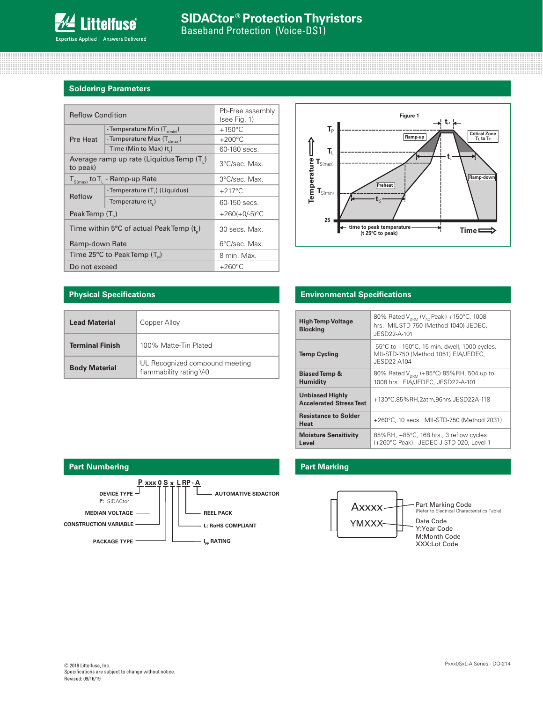

# **Soldering Parameters**

| <b>Reflow Condition</b>                                          | Pb-Free assembly<br>(see Fig. 1)         |                  |  |
|------------------------------------------------------------------|------------------------------------------|------------------|--|
|                                                                  | - Temperature Min $(T_{\text{s(min)}})$  | $+150^{\circ}$ C |  |
| <b>Pre Heat</b>                                                  | - Temperature Max (T <sub>s(max)</sub> ) | $+200^{\circ}$ C |  |
|                                                                  | -Time (Min to Max) $(t_s)$               | 60-180 secs.     |  |
| to peak)                                                         | Average ramp up rate (Liquidus Temp (T.) | 3°C/sec. Max.    |  |
| ${\sf T}_{_{\sf S(max)}}$ to ${\sf T}_{_{\sf L}}$ - Ramp-up Rate | 3°C/sec. Max.                            |                  |  |
|                                                                  | -Temperature (T.) (Liquidus)             | $+217^{\circ}$ C |  |
| Reflow                                                           | -Temperature (t,)                        | 60-150 secs.     |  |
| Peak Temp $(T_{\circ})$                                          |                                          | $+260(+0/-5)$ °C |  |
| Time within 5°C of actual PeakTemp $(t_{n})$                     | 30 secs. Max.                            |                  |  |
| Ramp-down Rate                                                   |                                          | 6°C/sec. Max.    |  |
|                                                                  | Time 25°C to Peak Temp $(T_5)$           | 8 min. Max.      |  |
| Do not exceed                                                    |                                          | $+260^{\circ}$ C |  |



| <b>Lead Material</b>   | Copper Alloy                                              |
|------------------------|-----------------------------------------------------------|
| <b>Terminal Finish</b> | 100% Matte-Tin Plated                                     |
| <b>Body Material</b>   | UL Recognized compound meeting<br>flammability rating V-0 |

#### **Physical Specifications Environmental Specifications**

| <b>High Temp Voltage</b><br><b>Blocking</b>              | 80% Rated $V_{DPM}$ (V <sub>AC</sub> Peak) +150°C, 1008<br>hrs. MIL-STD-750 (Method 1040) JEDEC.<br>JESD22-A-101        |  |  |  |
|----------------------------------------------------------|-------------------------------------------------------------------------------------------------------------------------|--|--|--|
| <b>Temp Cycling</b>                                      | $-55^{\circ}$ C to $+150^{\circ}$ C, 15 min. dwell, 1000 cycles.<br>MIL-STD-750 (Method 1051) EIA/JEDEC,<br>JESD22-A104 |  |  |  |
| <b>Biased Temp &amp;</b><br><b>Humidity</b>              | 80% Rated V <sub>DRM</sub> (+85°C) 85%RH, 504 up to<br>1008 hrs. EIA/JEDEC, JESD22-A-101                                |  |  |  |
| <b>Unbiased Highly</b><br><b>Accelerated Stress Test</b> | +130°C,85%RH,2atm,96hrs.JESD22A-118                                                                                     |  |  |  |
| <b>Resistance to Solder</b><br>Heat                      | +260°C, 10 secs. MIL-STD-750 (Method 2031)                                                                              |  |  |  |
| <b>Moisture Sensitivity</b><br>Level                     | 85%RH, +85°C, 168 hrs., 3 reflow cycles<br>(+260°C Peak). JEDEC-J-STD-020. Level 1                                      |  |  |  |



# **Part Marking**